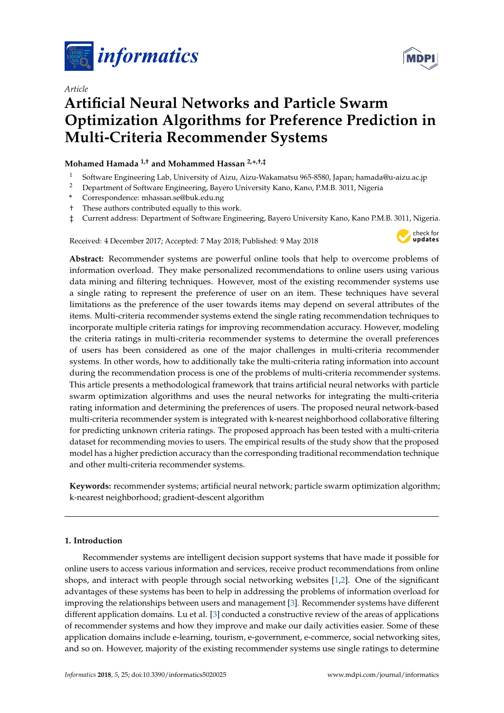

*Article*



# **Artificial Neural Networks and Particle Swarm Optimization Algorithms for Preference Prediction in Multi-Criteria Recommender Systems**

# **Mohamed Hamada 1,† and Mohammed Hassan 2,\* ,†,‡**

- <sup>1</sup> Software Engineering Lab, University of Aizu, Aizu-Wakamatsu 965-8580, Japan; hamada@u-aizu.ac.jp
- <sup>2</sup> Department of Software Engineering, Bayero University Kano, Kano, P.M.B. 3011, Nigeria
- **\*** Correspondence: mhassan.se@buk.edu.ng
- † These authors contributed equally to this work.
- ‡ Current address: Department of Software Engineering, Bayero University Kano, Kano P.M.B. 3011, Nigeria.

Received: 4 December 2017; Accepted: 7 May 2018; Published: 9 May 2018



**Abstract:** Recommender systems are powerful online tools that help to overcome problems of information overload. They make personalized recommendations to online users using various data mining and filtering techniques. However, most of the existing recommender systems use a single rating to represent the preference of user on an item. These techniques have several limitations as the preference of the user towards items may depend on several attributes of the items. Multi-criteria recommender systems extend the single rating recommendation techniques to incorporate multiple criteria ratings for improving recommendation accuracy. However, modeling the criteria ratings in multi-criteria recommender systems to determine the overall preferences of users has been considered as one of the major challenges in multi-criteria recommender systems. In other words, how to additionally take the multi-criteria rating information into account during the recommendation process is one of the problems of multi-criteria recommender systems. This article presents a methodological framework that trains artificial neural networks with particle swarm optimization algorithms and uses the neural networks for integrating the multi-criteria rating information and determining the preferences of users. The proposed neural network-based multi-criteria recommender system is integrated with k-nearest neighborhood collaborative filtering for predicting unknown criteria ratings. The proposed approach has been tested with a multi-criteria dataset for recommending movies to users. The empirical results of the study show that the proposed model has a higher prediction accuracy than the corresponding traditional recommendation technique and other multi-criteria recommender systems.

**Keywords:** recommender systems; artificial neural network; particle swarm optimization algorithm; k-nearest neighborhood; gradient-descent algorithm

# **1. Introduction**

Recommender systems are intelligent decision support systems that have made it possible for online users to access various information and services, receive product recommendations from online shops, and interact with people through social networking websites [\[1,](#page-12-0)[2\]](#page-12-1). One of the significant advantages of these systems has been to help in addressing the problems of information overload for improving the relationships between users and management [\[3\]](#page-12-2). Recommender systems have different different application domains. Lu et al. [\[3\]](#page-12-2) conducted a constructive review of the areas of applications of recommender systems and how they improve and make our daily activities easier. Some of these application domains include e-learning, tourism, e-government, e-commerce, social networking sites, and so on. However, majority of the existing recommender systems use single ratings to determine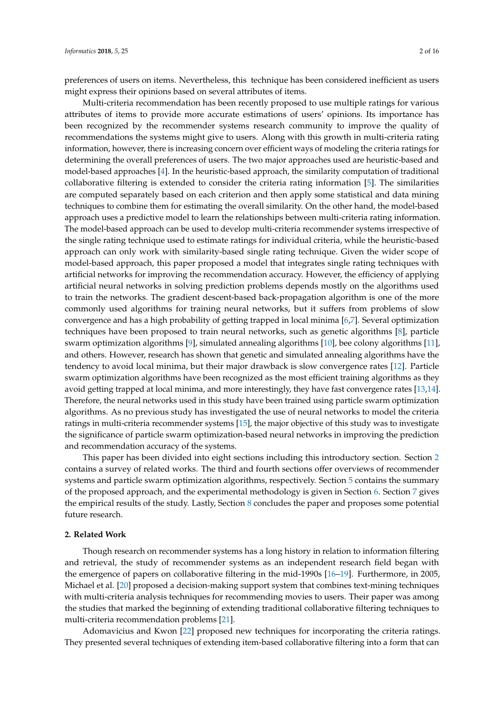preferences of users on items. Nevertheless, this technique has been considered inefficient as users might express their opinions based on several attributes of items.

Multi-criteria recommendation has been recently proposed to use multiple ratings for various attributes of items to provide more accurate estimations of users' opinions. Its importance has been recognized by the recommender systems research community to improve the quality of recommendations the systems might give to users. Along with this growth in multi-criteria rating information, however, there is increasing concern over efficient ways of modeling the criteria ratings for determining the overall preferences of users. The two major approaches used are heuristic-based and model-based approaches [\[4\]](#page-12-3). In the heuristic-based approach, the similarity computation of traditional collaborative filtering is extended to consider the criteria rating information [\[5\]](#page-12-4). The similarities are computed separately based on each criterion and then apply some statistical and data mining techniques to combine them for estimating the overall similarity. On the other hand, the model-based approach uses a predictive model to learn the relationships between multi-criteria rating information. The model-based approach can be used to develop multi-criteria recommender systems irrespective of the single rating technique used to estimate ratings for individual criteria, while the heuristic-based approach can only work with similarity-based single rating technique. Given the wider scope of model-based approach, this paper proposed a model that integrates single rating techniques with artificial networks for improving the recommendation accuracy. However, the efficiency of applying artificial neural networks in solving prediction problems depends mostly on the algorithms used to train the networks. The gradient descent-based back-propagation algorithm is one of the more commonly used algorithms for training neural networks, but it suffers from problems of slow convergence and has a high probability of getting trapped in local minima [\[6,](#page-13-0)[7\]](#page-13-1). Several optimization techniques have been proposed to train neural networks, such as genetic algorithms [\[8\]](#page-13-2), particle swarm optimization algorithms [\[9\]](#page-13-3), simulated annealing algorithms [\[10\]](#page-13-4), bee colony algorithms [\[11\]](#page-13-5), and others. However, research has shown that genetic and simulated annealing algorithms have the tendency to avoid local minima, but their major drawback is slow convergence rates [\[12\]](#page-13-6). Particle swarm optimization algorithms have been recognized as the most efficient training algorithms as they avoid getting trapped at local minima, and more interestingly, they have fast convergence rates [\[13](#page-13-7)[,14\]](#page-13-8). Therefore, the neural networks used in this study have been trained using particle swarm optimization algorithms. As no previous study has investigated the use of neural networks to model the criteria ratings in multi-criteria recommender systems [\[15\]](#page-13-9), the major objective of this study was to investigate the significance of particle swarm optimization-based neural networks in improving the prediction and recommendation accuracy of the systems.

This paper has been divided into eight sections including this introductory section. Section [2](#page-1-0) contains a survey of related works. The third and fourth sections offer overviews of recommender systems and particle swarm optimization algorithms, respectively. Section [5](#page-4-0) contains the summary of the proposed approach, and the experimental methodology is given in Section [6.](#page-7-0) Section [7](#page-9-0) gives the empirical results of the study. Lastly, Section [8](#page-12-5) concludes the paper and proposes some potential future research.

#### <span id="page-1-0"></span>**2. Related Work**

Though research on recommender systems has a long history in relation to information filtering and retrieval, the study of recommender systems as an independent research field began with the emergence of papers on collaborative filtering in the mid-1990s [\[16–](#page-13-10)[19\]](#page-13-11). Furthermore, in 2005, Michael et al. [\[20\]](#page-13-12) proposed a decision-making support system that combines text-mining techniques with multi-criteria analysis techniques for recommending movies to users. Their paper was among the studies that marked the beginning of extending traditional collaborative filtering techniques to multi-criteria recommendation problems [\[21\]](#page-13-13).

Adomavicius and Kwon [\[22\]](#page-13-14) proposed new techniques for incorporating the criteria ratings. They presented several techniques of extending item-based collaborative filtering into a form that can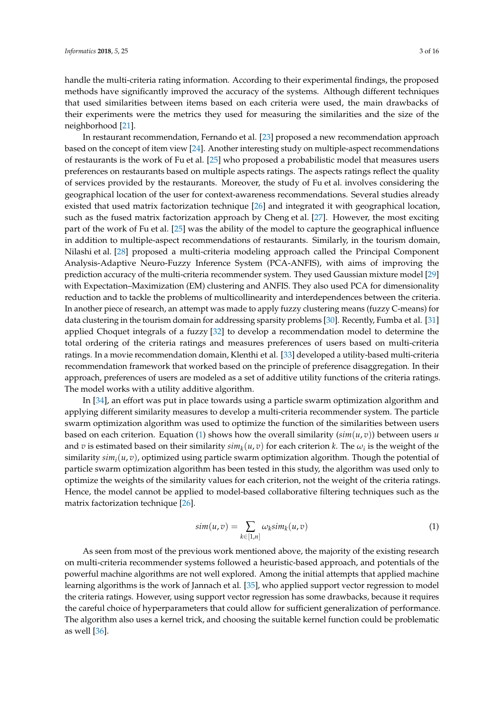handle the multi-criteria rating information. According to their experimental findings, the proposed methods have significantly improved the accuracy of the systems. Although different techniques that used similarities between items based on each criteria were used, the main drawbacks of their experiments were the metrics they used for measuring the similarities and the size of the neighborhood [\[21\]](#page-13-13).

In restaurant recommendation, Fernando et al. [\[23\]](#page-13-15) proposed a new recommendation approach based on the concept of item view [\[24\]](#page-13-16). Another interesting study on multiple-aspect recommendations of restaurants is the work of Fu et al. [\[25\]](#page-13-17) who proposed a probabilistic model that measures users preferences on restaurants based on multiple aspects ratings. The aspects ratings reflect the quality of services provided by the restaurants. Moreover, the study of Fu et al. involves considering the geographical location of the user for context-awareness recommendations. Several studies already existed that used matrix factorization technique [\[26\]](#page-14-0) and integrated it with geographical location, such as the fused matrix factorization approach by Cheng et al. [\[27\]](#page-14-1). However, the most exciting part of the work of Fu et al. [\[25\]](#page-13-17) was the ability of the model to capture the geographical influence in addition to multiple-aspect recommendations of restaurants. Similarly, in the tourism domain, Nilashi et al. [\[28\]](#page-14-2) proposed a multi-criteria modeling approach called the Principal Component Analysis-Adaptive Neuro-Fuzzy Inference System (PCA-ANFIS), with aims of improving the prediction accuracy of the multi-criteria recommender system. They used Gaussian mixture model [\[29\]](#page-14-3) with Expectation–Maximization (EM) clustering and ANFIS. They also used PCA for dimensionality reduction and to tackle the problems of multicollinearity and interdependences between the criteria. In another piece of research, an attempt was made to apply fuzzy clustering means (fuzzy C-means) for data clustering in the tourism domain for addressing sparsity problems [\[30\]](#page-14-4). Recently, Fumba et al. [\[31\]](#page-14-5) applied Choquet integrals of a fuzzy [\[32\]](#page-14-6) to develop a recommendation model to determine the total ordering of the criteria ratings and measures preferences of users based on multi-criteria ratings. In a movie recommendation domain, Klenthi et al. [\[33\]](#page-14-7) developed a utility-based multi-criteria recommendation framework that worked based on the principle of preference disaggregation. In their approach, preferences of users are modeled as a set of additive utility functions of the criteria ratings. The model works with a utility additive algorithm.

In [\[34\]](#page-14-8), an effort was put in place towards using a particle swarm optimization algorithm and applying different similarity measures to develop a multi-criteria recommender system. The particle swarm optimization algorithm was used to optimize the function of the similarities between users based on each criterion. Equation [\(1\)](#page-2-0) shows how the overall similarity  $(\sin(u, v))$  between users *u* and *v* is estimated based on their similarity  $\sinh_k(u, v)$  for each criterion *k*. The  $\omega_i$  is the weight of the similarity  $sim<sub>i</sub>(u, v)$ , optimized using particle swarm optimization algorithm. Though the potential of particle swarm optimization algorithm has been tested in this study, the algorithm was used only to optimize the weights of the similarity values for each criterion, not the weight of the criteria ratings. Hence, the model cannot be applied to model-based collaborative filtering techniques such as the matrix factorization technique [\[26\]](#page-14-0).

<span id="page-2-0"></span>
$$
sim(u,v) = \sum_{k \in [1,n]} \omega_k sim_k(u,v)
$$
\n(1)

As seen from most of the previous work mentioned above, the majority of the existing research on multi-criteria recommender systems followed a heuristic-based approach, and potentials of the powerful machine algorithms are not well explored. Among the initial attempts that applied machine learning algorithms is the work of Jannach et al. [\[35\]](#page-14-9), who applied support vector regression to model the criteria ratings. However, using support vector regression has some drawbacks, because it requires the careful choice of hyperparameters that could allow for sufficient generalization of performance. The algorithm also uses a kernel trick, and choosing the suitable kernel function could be problematic as well [\[36\]](#page-14-10).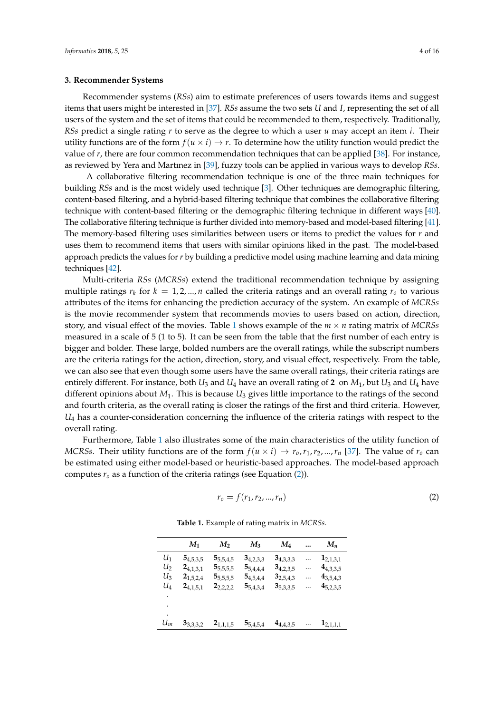#### **3. Recommender Systems**

Recommender systems (*RSs*) aim to estimate preferences of users towards items and suggest items that users might be interested in [\[37\]](#page-14-11). *RSs* assume the two sets *U* and *I*, representing the set of all users of the system and the set of items that could be recommended to them, respectively. Traditionally, *RSs* predict a single rating *r* to serve as the degree to which a user *u* may accept an item *i*. Their utility functions are of the form  $f(u \times i) \rightarrow r$ . To determine how the utility function would predict the value of *r*, there are four common recommendation techniques that can be applied [\[38\]](#page-14-12). For instance, as reviewed by Yera and Martınez in [\[39\]](#page-14-13), fuzzy tools can be applied in various ways to develop *RSs*.

A collaborative filtering recommendation technique is one of the three main techniques for building *RSs* and is the most widely used technique [\[3\]](#page-12-2). Other techniques are demographic filtering, content-based filtering, and a hybrid-based filtering technique that combines the collaborative filtering technique with content-based filtering or the demographic filtering technique in different ways [\[40\]](#page-14-14). The collaborative filtering technique is further divided into memory-based and model-based filtering [\[41\]](#page-14-15). The memory-based filtering uses similarities between users or items to predict the values for *r* and uses them to recommend items that users with similar opinions liked in the past. The model-based approach predicts the values for *r* by building a predictive model using machine learning and data mining techniques [\[42\]](#page-14-16).

Multi-criteria *RSs* (*MCRSs*) extend the traditional recommendation technique by assigning multiple ratings  $r_k$  for  $k = 1, 2, ..., n$  called the criteria ratings and an overall rating  $r_o$  to various attributes of the items for enhancing the prediction accuracy of the system. An example of *MCRSs* is the movie recommender system that recommends movies to users based on action, direction, story, and visual effect of the movies. Table [1](#page-3-0) shows example of the *m* × *n* rating matrix of *MCRSs* measured in a scale of 5 (1 to 5). It can be seen from the table that the first number of each entry is bigger and bolder. These large, bolded numbers are the overall ratings, while the subscript numbers are the criteria ratings for the action, direction, story, and visual effect, respectively. From the table, we can also see that even though some users have the same overall ratings, their criteria ratings are entirely different. For instance, both  $U_3$  and  $U_4$  have an overall rating of 2 on  $M_1$ , but  $U_3$  and  $U_4$  have different opinions about  $M_1$ . This is because  $U_3$  gives little importance to the ratings of the second and fourth criteria, as the overall rating is closer the ratings of the first and third criteria. However, *U*<sup>4</sup> has a counter-consideration concerning the influence of the criteria ratings with respect to the overall rating.

<span id="page-3-0"></span>Furthermore, Table [1](#page-3-0) also illustrates some of the main characteristics of the utility function of *MCRSs*. Their utility functions are of the form  $f(u \times i) \to r_0, r_1, r_2, ..., r_n$  [\[37\]](#page-14-11). The value of  $r_0$  can be estimated using either model-based or heuristic-based approaches. The model-based approach computes  $r<sub>o</sub>$  as a function of the criteria ratings (see Equation [\(2\)](#page-3-1)).

<span id="page-3-1"></span>
$$
r_o = f(r_1, r_2, ..., r_n)
$$
 (2)

|       | $M_1$         | M <sub>2</sub> | $M_3$         | $M_4$         | $\cdots$ | $M_n$         |
|-------|---------------|----------------|---------------|---------------|----------|---------------|
| $U_1$ | $5_{4,5,3,5}$ | $5_{5,5,4,5}$  | $3_{4,2,3,3}$ | $3_{4,3,3,3}$ |          | $1_{2,1,3,1}$ |
| $U_2$ | $2_{4,1,3,1}$ | $5_{5,5,5,5}$  | $5_{5,4,4,4}$ | $3_{4,2,3,5}$ |          | $4_{4,3,3,5}$ |
| $U_3$ | $2_{1,5,2,4}$ | $5_{5,5,5,5}$  | $5_{4,5,4,4}$ | $3_{2,5,4,3}$ |          | $4_{3,5,4,3}$ |
| $U_4$ | $2_{4,1,5,1}$ | $2_{2,2,2,2}$  | $5_{5,4,3,4}$ | $3_{5,3,3,5}$ |          | $4_{5,2,3,5}$ |
|       |               |                |               |               |          |               |
| ٠     |               |                |               |               |          |               |
| ٠     |               |                |               |               |          |               |
| $U_m$ | $3_{3,3,3,2}$ | $2_{1,1,1,5}$  | $5_{5,4,5,4}$ | $4_{4,4,3,5}$ | $\cdots$ | $1_{2,1,1,1}$ |

**Table 1.** Example of rating matrix in *MCRSs*.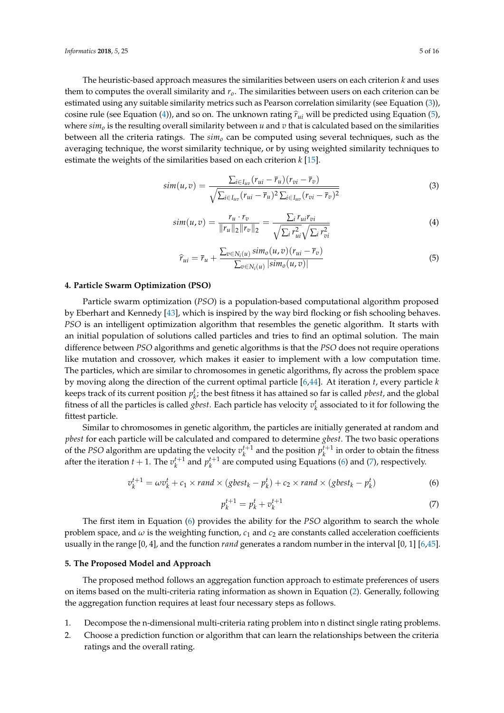The heuristic-based approach measures the similarities between users on each criterion *k* and uses them to computes the overall similarity and *ro*. The similarities between users on each criterion can be estimated using any suitable similarity metrics such as Pearson correlation similarity (see Equation [\(3\)](#page-4-1)), cosine rule (see Equation [\(4\)](#page-4-2)), and so on. The unknown rating  $\hat{r}_{ui}$  will be predicted using Equation [\(5\)](#page-4-3), where  $\sin n$ <sup>o</sup> is the resulting overall similarity between *u* and *v* that is calculated based on the similarities between all the criteria ratings. The *sim<sup>o</sup>* can be computed using several techniques, such as the averaging technique, the worst similarity technique, or by using weighted similarity techniques to estimate the weights of the similarities based on each criterion *k* [\[15\]](#page-13-9).

<span id="page-4-1"></span>
$$
sim(u,v) = \frac{\sum_{i \in I_{uv}} (r_{ui} - \overline{r}_u)(r_{vi} - \overline{r}_v)}{\sqrt{\sum_{i \in I_{uv}} (r_{ui} - \overline{r}_u)^2 \sum_{i \in I_{uv}} (r_{vi} - \overline{r}_v)^2}}
$$
(3)

<span id="page-4-2"></span>
$$
sim(u,v) = \frac{r_u \cdot r_v}{\|r_u\|_2\|r_v\|_2} = \frac{\sum_i r_{ui} r_{vi}}{\sqrt{\sum_i r_{ui}^2} \sqrt{\sum_i r_{vi}^2}}
$$
(4)

<span id="page-4-3"></span>
$$
\widehat{r}_{ui} = \overline{r}_u + \frac{\sum_{v \in N_i(u)} sim_o(u, v)(r_{ui} - \overline{r}_v)}{\sum_{v \in N_i(u)} |sim_o(u, v)|}
$$
(5)

### **4. Particle Swarm Optimization (PSO)**

Particle swarm optimization (*PSO*) is a population-based computational algorithm proposed by Eberhart and Kennedy [\[43\]](#page-14-17), which is inspired by the way bird flocking or fish schooling behaves. *PSO* is an intelligent optimization algorithm that resembles the genetic algorithm. It starts with an initial population of solutions called particles and tries to find an optimal solution. The main difference between *PSO* algorithms and genetic algorithms is that the *PSO* does not require operations like mutation and crossover, which makes it easier to implement with a low computation time. The particles, which are similar to chromosomes in genetic algorithms, fly across the problem space by moving along the direction of the current optimal particle [\[6,](#page-13-0)[44\]](#page-14-18). At iteration *t*, every particle *k* keeps track of its current position  $p_k^t$ ; the best fitness it has attained so far is called *pbest*, and the global fitness of all the particles is called *gbest*. Each particle has velocity  $v_k^t$  associated to it for following the fittest particle.

Similar to chromosomes in genetic algorithm, the particles are initially generated at random and *pbest* for each particle will be calculated and compared to determine *gbest*. The two basic operations of the *PSO* algorithm are updating the velocity  $v_k^{t+1}$  and the position  $p_k^{t+1}$  in order to obtain the fitness after the iteration  $t + 1$ . The  $v_k^{t+1}$  and  $p_k^{t+1}$  are computed using Equations [\(6\)](#page-4-4) and [\(7\)](#page-4-5), respectively.

<span id="page-4-4"></span>
$$
v_k^{t+1} = \omega v_k^t + c_1 \times rand \times (gbest_k - p_k^t) + c_2 \times rand \times (gbest_k - p_k^t)
$$
\n
$$
(6)
$$

<span id="page-4-5"></span>
$$
p_k^{t+1} = p_k^t + v_k^{t+1}
$$
 (7)

The first item in Equation [\(6\)](#page-4-4) provides the ability for the *PSO* algorithm to search the whole problem space, and  $\omega$  is the weighting function,  $c_1$  and  $c_2$  are constants called acceleration coefficients usually in the range [0, 4], and the function *rand* generates a random number in the interval [0, 1] [\[6,](#page-13-0)[45\]](#page-14-19).

# <span id="page-4-0"></span>**5. The Proposed Model and Approach**

The proposed method follows an aggregation function approach to estimate preferences of users on items based on the multi-criteria rating information as shown in Equation [\(2\)](#page-3-1). Generally, following the aggregation function requires at least four necessary steps as follows.

- 1. Decompose the n-dimensional multi-criteria rating problem into n distinct single rating problems.
- 2. Choose a prediction function or algorithm that can learn the relationships between the criteria ratings and the overall rating.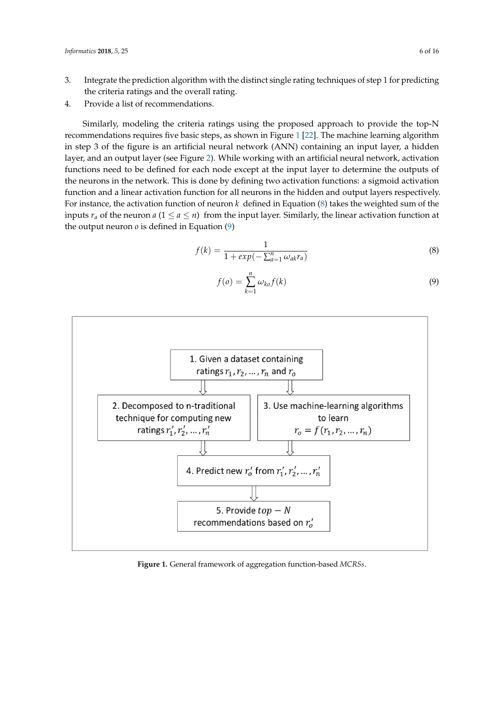- 3. Integrate the prediction algorithm with the distinct single rating techniques of step 1 for predicting the criteria ratings and the overall rating.
- 4. Provide a list of recommendations.

Similarly, modeling the criteria ratings using the proposed approach to provide the top-N recommendations requires five basic steps, as shown in Figure [1](#page-5-0) [\[22\]](#page-13-14). The machine learning algorithm in step 3 of the figure is an artificial neural network (ANN) containing an input layer, a hidden layer, and an output layer (see Figure [2\)](#page-6-0). While working with an artificial neural network, activation functions need to be defined for each node except at the input layer to determine the outputs of the neurons in the network. This is done by defining two activation functions: a sigmoid activation function and a linear activation function for all neurons in the hidden and output layers respectively. For instance, the activation function of neuron *k* defined in Equation [\(8\)](#page-5-1) takes the weighted sum of the inputs  $r_a$  of the neuron  $a$  ( $1 \le a \le n$ ) from the input layer. Similarly, the linear activation function at the output neuron  $o$  is defined in Equation  $(9)$ 

<span id="page-5-1"></span>
$$
f(k) = \frac{1}{1 + exp(-\sum_{a=1}^{n} \omega_{ak} r_a)}
$$
\n
$$
(8)
$$

<span id="page-5-2"></span>
$$
f(o) = \sum_{k=1}^{n} \omega_{ko} f(k)
$$
\n(9)

<span id="page-5-0"></span>

**Figure 1.** General framework of aggregation function-based *MCRSs*.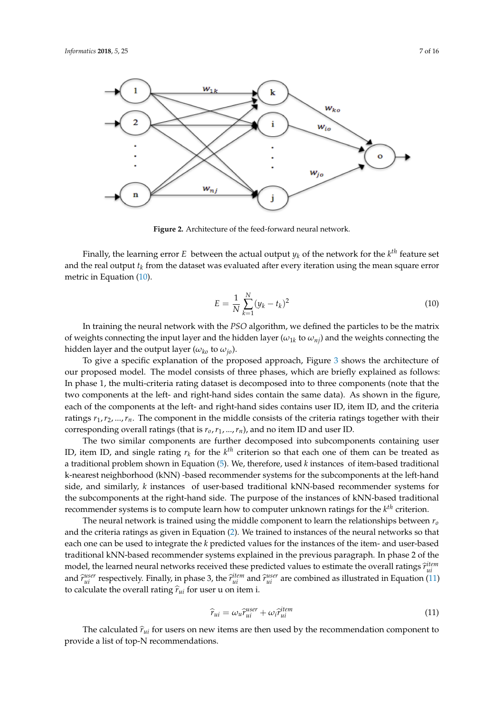<span id="page-6-0"></span>

**Figure 2.** Architecture of the feed-forward neural network.

Finally, the learning error  $E$  between the actual output  $y_k$  of the network for the  $k^{th}$  feature set and the real output *t<sup>k</sup>* from the dataset was evaluated after every iteration using the mean square error metric in Equation [\(10\)](#page-6-1).

<span id="page-6-1"></span>
$$
E = \frac{1}{N} \sum_{k=1}^{N} (y_k - t_k)^2
$$
 (10)

In training the neural network with the *PSO* algorithm, we defined the particles to be the matrix of weights connecting the input layer and the hidden layer ( $\omega_{1k}$  to  $\omega_{nj}$ ) and the weights connecting the hidden layer and the output layer ( $\omega_{ko}$  to  $\omega_{jo}$ ).

To give a specific explanation of the proposed approach, Figure [3](#page-7-1) shows the architecture of our proposed model. The model consists of three phases, which are briefly explained as follows: In phase 1, the multi-criteria rating dataset is decomposed into to three components (note that the two components at the left- and right-hand sides contain the same data). As shown in the figure, each of the components at the left- and right-hand sides contains user ID, item ID, and the criteria ratings  $r_1, r_2, ..., r_n$ . The component in the middle consists of the criteria ratings together with their corresponding overall ratings (that is *ro*,*r*1, ...,*rn*), and no item ID and user ID.

The two similar components are further decomposed into subcomponents containing user ID, item ID, and single rating  $r_k$  for the  $k<sup>th</sup>$  criterion so that each one of them can be treated as a traditional problem shown in Equation [\(5\)](#page-4-3). We, therefore, used *k* instances of item-based traditional k-nearest neighborhood (kNN) -based recommender systems for the subcomponents at the left-hand side, and similarly, *k* instances of user-based traditional kNN-based recommender systems for the subcomponents at the right-hand side. The purpose of the instances of kNN-based traditional recommender systems is to compute learn how to computer unknown ratings for the *k th* criterion.

The neural network is trained using the middle component to learn the relationships between *r<sup>o</sup>* and the criteria ratings as given in Equation [\(2\)](#page-3-1). We trained to instances of the neural networks so that each one can be used to integrate the *k* predicted values for the instances of the item- and user-based traditional kNN-based recommender systems explained in the previous paragraph. In phase 2 of the model, the learned neural networks received these predicted values to estimate the overall ratings  $\hat{r}^{item}_{ui}$ and  $\hat{r}_{ui}^{user}$  respectively. Finally, in phase 3, the  $\hat{r}_{ui}^{item}$  and  $\hat{r}_{ui}^{user}$  are combined as illustrated in Equation [\(11\)](#page-6-2) to calculate the overall rating  $\hat{r}_{ui}$  for user u on item i.

<span id="page-6-2"></span>
$$
\widehat{r}_{ui} = \omega_u \widehat{r}_{ui}^{user} + \omega_i \widehat{r}_{ui}^{item} \tag{11}
$$

The calculated  $\hat{r}_{ui}$  for users on new items are then used by the recommendation component to provide a list of top-N recommendations.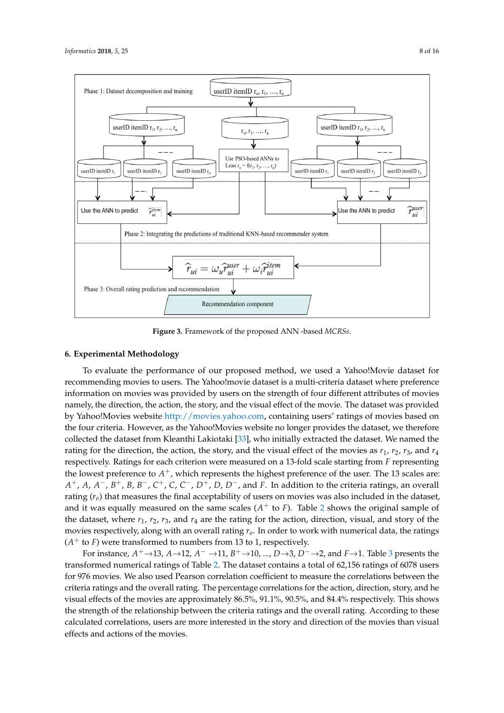<span id="page-7-1"></span>

**Figure 3.** Framework of the proposed ANN -based *MCRSs*.

# <span id="page-7-0"></span>**6. Experimental Methodology**

To evaluate the performance of our proposed method, we used a Yahoo!Movie dataset for recommending movies to users. The Yahoo!movie dataset is a multi-criteria dataset where preference information on movies was provided by users on the strength of four different attributes of movies namely, the direction, the action, the story, and the visual effect of the movie. The dataset was provided by Yahoo!Movies website [http://movies.yahoo.com,](http://movies.yahoo.com) containing users' ratings of movies based on the four criteria. However, as the Yahoo!Movies website no longer provides the dataset, we therefore collected the dataset from Kleanthi Lakiotaki [\[33\]](#page-14-7), who initially extracted the dataset. We named the rating for the direction, the action, the story, and the visual effect of the movies as  $r_1$ ,  $r_2$ ,  $r_3$ , and  $r_4$ respectively. Ratings for each criterion were measured on a 13-fold scale starting from *F* representing the lowest preference to  $A^+$ , which represents the highest preference of the user. The 13 scales are: *A* <sup>+</sup>, *A*, *A* <sup>−</sup>, *B* <sup>+</sup>, *B*, *B* <sup>−</sup>, *C* <sup>+</sup>, *C*, *C* <sup>−</sup>, *D*+, *D*, *D*−, and *F*. In addition to the criteria ratings, an overall rating  $(r<sub>o</sub>)$  that measures the final acceptability of users on movies was also included in the dataset, and it was equally measured on the same scales  $(A<sup>+</sup>$  to  $F$ ). Table [2](#page-8-0) shows the original sample of the dataset, where *r*1, *r*2, *r*3, and *r*<sup>4</sup> are the rating for the action, direction, visual, and story of the movies respectively, along with an overall rating *ro*. In order to work with numerical data, the ratings  $(A<sup>+</sup>$  to *F*) were transformed to numbers from 13 to 1, respectively.

For instance, *A* <sup>+</sup>→13, *A*→12, *A* <sup>−</sup> →11, *B* <sup>+</sup>→10, ..., *D*→3, *D*−→2, and *F*→1. Table [3](#page-8-1) presents the transformed numerical ratings of Table [2.](#page-8-0) The dataset contains a total of 62,156 ratings of 6078 users for 976 movies. We also used Pearson correlation coefficient to measure the correlations between the criteria ratings and the overall rating. The percentage correlations for the action, direction, story, and he visual effects of the movies are approximately 86.5%, 91.1%, 90.5%, and 84.4% respectively. This shows the strength of the relationship between the criteria ratings and the overall rating. According to these calculated correlations, users are more interested in the story and direction of the movies than visual effects and actions of the movies.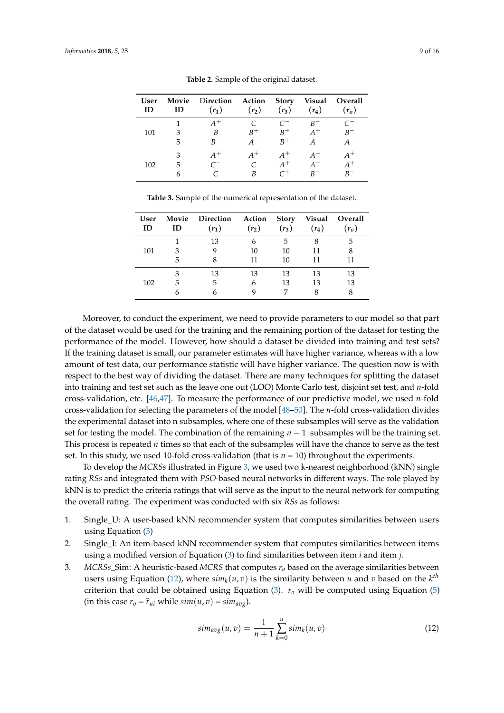<span id="page-8-0"></span>

| User<br>ID | Movie<br>ID | Direction Action<br>$(r_1)$ | $(r_2)$          | <b>Story</b><br>$(r_3)$              | Visual<br>$(r_4)$           | Overall<br>$(r_o)$                |
|------------|-------------|-----------------------------|------------------|--------------------------------------|-----------------------------|-----------------------------------|
| 101        | 3<br>5      | $A^+$<br>B<br>$R-$          | $R^+$<br>$A^{-}$ | $\mathcal{C}^-$<br>$B+$<br>$B^+$     | $R^-$<br>$A^{-}$<br>$A^{-}$ | $\mathcal{C}^-$<br>$B^-$<br>$A^-$ |
| 102        | 3<br>5<br>6 | $A^+$<br>$\mathcal{C}^-$    | $A^+$<br>B       | $A^+$<br>$A^+$<br>$\small{\frown +}$ | $A^+$<br>$A^+$<br>$R-$      | $A^+$<br>$A^+$<br>$R^-$           |

**Table 2.** Sample of the original dataset.

<span id="page-8-1"></span>

| <b>User</b><br>ID | ID | Movie Direction Action<br>$(r_1)$ | $(r_2)$ | <b>Story</b><br>$(r_3)$ | $(r_4)$ | Visual Overall<br>$(r_o)$ |
|-------------------|----|-----------------------------------|---------|-------------------------|---------|---------------------------|
|                   |    | 13                                | h       | 5                       | 8       | 5                         |
| 101               | 3  |                                   | 10      | 10                      | 11      | 8                         |
|                   | 5  |                                   | 11      | 10                      | 11      |                           |
|                   | 3  | 13                                | 13      | 13                      | 13      | 13                        |
| 102               | 5  | 5                                 | h       | 13                      | 13      | 13                        |
|                   |    |                                   |         |                         |         |                           |

**Table 3.** Sample of the numerical representation of the dataset.

Moreover, to conduct the experiment, we need to provide parameters to our model so that part of the dataset would be used for the training and the remaining portion of the dataset for testing the performance of the model. However, how should a dataset be divided into training and test sets? If the training dataset is small, our parameter estimates will have higher variance, whereas with a low amount of test data, our performance statistic will have higher variance. The question now is with respect to the best way of dividing the dataset. There are many techniques for splitting the dataset into training and test set such as the leave one out (LOO) Monte Carlo test, disjoint set test, and *n*-fold cross-validation, etc. [\[46,](#page-14-20)[47\]](#page-15-0). To measure the performance of our predictive model, we used *n*-fold cross-validation for selecting the parameters of the model [\[48–](#page-15-1)[50\]](#page-15-2). The *n*-fold cross-validation divides the experimental dataset into n subsamples, where one of these subsamples will serve as the validation set for testing the model. The combination of the remaining  $n - 1$  subsamples will be the training set. This process is repeated *n* times so that each of the subsamples will have the chance to serve as the test set. In this study, we used 10-fold cross-validation (that is *n* = 10) throughout the experiments.

To develop the *MCRSs* illustrated in Figure [3,](#page-7-1) we used two k-nearest neighborhood (kNN) single rating *RSs* and integrated them with *PSO*-based neural networks in different ways. The role played by kNN is to predict the criteria ratings that will serve as the input to the neural network for computing the overall rating. The experiment was conducted with six *RSs* as follows:

- 1. Single\_U: A user-based kNN recommender system that computes similarities between users using Equation [\(3\)](#page-4-1)
- 2. Single I: An item-based kNN recommender system that computes similarities between items using a modified version of Equation [\(3\)](#page-4-1) to find similarities between item *i* and item *j*.
- 3. *MCRSs*\_Sim: A heuristic-based *MCRS* that computes *r<sup>o</sup>* based on the average similarities between users using Equation [\(12\)](#page-8-2), where  $\sinh_k(u,v)$  is the similarity between *u* and *v* based on the  $k^{th}$ criterion that could be obtained using Equation [\(3\)](#page-4-1). *r<sup>o</sup>* will be computed using Equation [\(5\)](#page-4-3)  $(in this case r<sub>o</sub> = \hat{r}_{ui}$  while  $sim(u, v) = sim_{avg}$ .

<span id="page-8-2"></span>
$$
sim_{avg}(u,v) = \frac{1}{n+1} \sum_{k=0}^{n} sim_k(u,v)
$$
\n(12)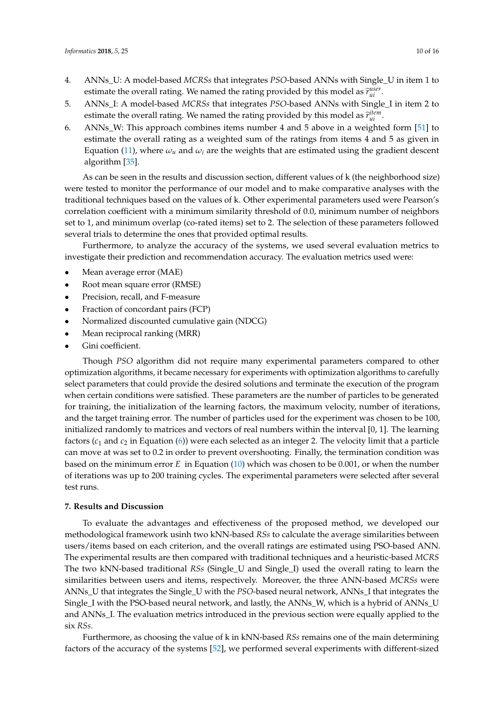- 4. ANNs\_U: A model-based *MCRSs* that integrates *PSO*-based ANNs with Single\_U in item 1 to estimate the overall rating. We named the rating provided by this model as  $\hat{r}_{ui}^{user}$ .
- 5. ANNs\_I: A model-based *MCRSs* that integrates *PSO*-based ANNs with Single\_I in item 2 to estimate the overall rating. We named the rating provided by this model as  $\hat{r}^{item}_{ui}$ .
- 6. ANNs\_W: This approach combines items number 4 and 5 above in a weighted form [\[51\]](#page-15-3) to estimate the overall rating as a weighted sum of the ratings from items 4 and 5 as given in Equation [\(11\)](#page-6-2), where  $\omega_u$  and  $\omega_i$  are the weights that are estimated using the gradient descent algorithm [\[35\]](#page-14-9).

As can be seen in the results and discussion section, different values of k (the neighborhood size) were tested to monitor the performance of our model and to make comparative analyses with the traditional techniques based on the values of k. Other experimental parameters used were Pearson's correlation coefficient with a minimum similarity threshold of 0.0, minimum number of neighbors set to 1, and minimum overlap (co-rated items) set to 2. The selection of these parameters followed several trials to determine the ones that provided optimal results.

Furthermore, to analyze the accuracy of the systems, we used several evaluation metrics to investigate their prediction and recommendation accuracy. The evaluation metrics used were:

- Mean average error (MAE)
- Root mean square error (RMSE)
- Precision, recall, and F-measure
- Fraction of concordant pairs (FCP)
- Normalized discounted cumulative gain (NDCG)
- Mean reciprocal ranking (MRR)
- Gini coefficient.

Though *PSO* algorithm did not require many experimental parameters compared to other optimization algorithms, it became necessary for experiments with optimization algorithms to carefully select parameters that could provide the desired solutions and terminate the execution of the program when certain conditions were satisfied. These parameters are the number of particles to be generated for training, the initialization of the learning factors, the maximum velocity, number of iterations, and the target training error. The number of particles used for the experiment was chosen to be 100, initialized randomly to matrices and vectors of real numbers within the interval [0, 1]. The learning factors  $(c_1$  and  $c_2$  in Equation [\(6\)](#page-4-4)) were each selected as an integer 2. The velocity limit that a particle can move at was set to 0.2 in order to prevent overshooting. Finally, the termination condition was based on the minimum error *E* in Equation [\(10\)](#page-6-1) which was chosen to be 0.001, or when the number of iterations was up to 200 training cycles. The experimental parameters were selected after several test runs.

### <span id="page-9-0"></span>**7. Results and Discussion**

To evaluate the advantages and effectiveness of the proposed method, we developed our methodological framework usinh two kNN-based *RSs* to calculate the average similarities between users/items based on each criterion, and the overall ratings are estimated using PSO-based ANN. The experimental results are then compared with traditional techniques and a heuristic-based *MCRS* The two kNN-based traditional *RSs* (Single\_U and Single\_I) used the overall rating to learn the similarities between users and items, respectively. Moreover, the three ANN-based *MCRSs* were ANNs\_U that integrates the Single\_U with the *PSO*-based neural network, ANNs\_I that integrates the Single I with the PSO-based neural network, and lastly, the ANNs W, which is a hybrid of ANNs U and ANNs\_I. The evaluation metrics introduced in the previous section were equally applied to the six *RSs*.

Furthermore, as choosing the value of k in kNN-based *RSs* remains one of the main determining factors of the accuracy of the systems [\[52\]](#page-15-4), we performed several experiments with different-sized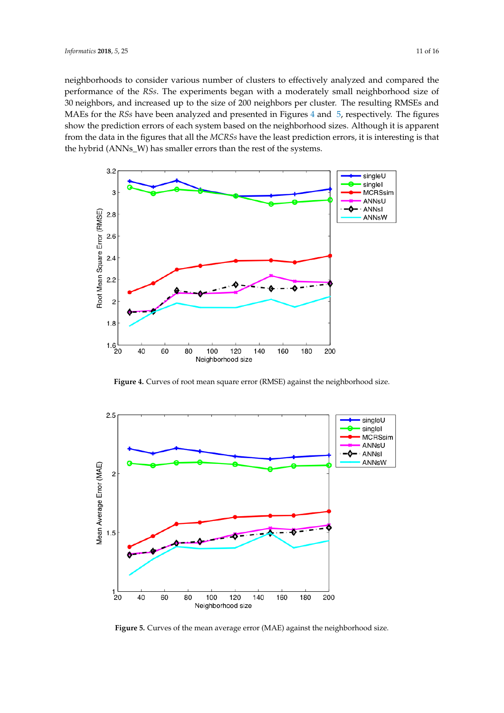neighborhoods to consider various number of clusters to effectively analyzed and compared the performance of the *RSs*. The experiments began with a moderately small neighborhood size of 30 neighbors, and increased up to the size of 200 neighbors per cluster. The resulting RMSEs and MAEs for the *RSs* have been analyzed and presented in Figures [4](#page-10-0) and [5,](#page-10-1) respectively. The figures show the prediction errors of each system based on the neighborhood sizes. Although it is apparent from the data in the figures that all the *MCRSs* have the least prediction errors, it is interesting is that the hybrid (ANNs\_W) has smaller errors than the rest of the systems.

<span id="page-10-0"></span>

**Figure 4.** Curves of root mean square error (RMSE) against the neighborhood size.

<span id="page-10-1"></span>

**Figure 5.** Curves of the mean average error (MAE) against the neighborhood size.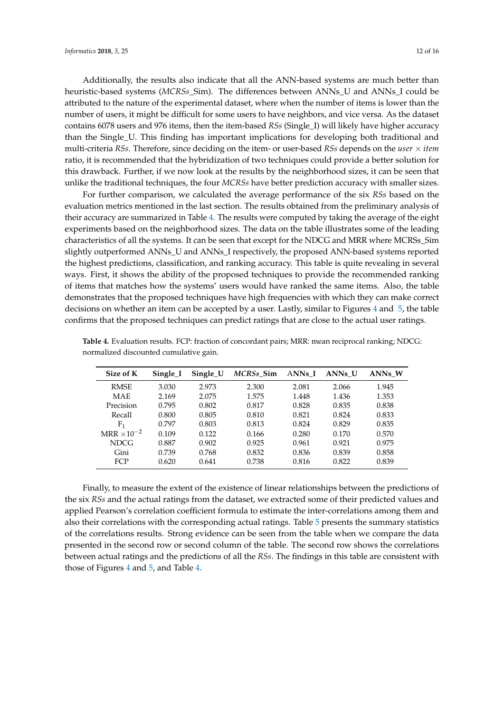Additionally, the results also indicate that all the ANN-based systems are much better than heuristic-based systems (*MCRSs*\_Sim). The differences between ANNs\_U and ANNs\_I could be attributed to the nature of the experimental dataset, where when the number of items is lower than the number of users, it might be difficult for some users to have neighbors, and vice versa. As the dataset contains 6078 users and 976 items, then the item-based *RSs* (Single\_I) will likely have higher accuracy than the Single\_U. This finding has important implications for developing both traditional and multi-criteria *RSs*. Therefore, since deciding on the item- or user-based *RSs* depends on the *user* × *item* ratio, it is recommended that the hybridization of two techniques could provide a better solution for this drawback. Further, if we now look at the results by the neighborhood sizes, it can be seen that unlike the traditional techniques, the four *MCRSs* have better prediction accuracy with smaller sizes.

For further comparison, we calculated the average performance of the six *RSs* based on the evaluation metrics mentioned in the last section. The results obtained from the preliminary analysis of their accuracy are summarized in Table [4.](#page-11-0) The results were computed by taking the average of the eight experiments based on the neighborhood sizes. The data on the table illustrates some of the leading characteristics of all the systems. It can be seen that except for the NDCG and MRR where MCRSs\_Sim slightly outperformed ANNs\_U and ANNs\_I respectively, the proposed ANN-based systems reported the highest predictions, classification, and ranking accuracy. This table is quite revealing in several ways. First, it shows the ability of the proposed techniques to provide the recommended ranking of items that matches how the systems' users would have ranked the same items. Also, the table demonstrates that the proposed techniques have high frequencies with which they can make correct decisions on whether an item can be accepted by a user. Lastly, similar to Figures [4](#page-10-0) and [5,](#page-10-1) the table confirms that the proposed techniques can predict ratings that are close to the actual user ratings.

| Size of K            | Single I | Single_U | MCRSs Sim | ANNs I | ANNs U | ANNs W |
|----------------------|----------|----------|-----------|--------|--------|--------|
| <b>RMSE</b>          | 3.030    | 2.973    | 2.300     | 2.081  | 2.066  | 1.945  |
| <b>MAE</b>           | 2.169    | 2.075    | 1.575     | 1.448  | 1.436  | 1.353  |
| Precision            | 0.795    | 0.802    | 0.817     | 0.828  | 0.835  | 0.838  |
| Recall               | 0.800    | 0.805    | 0.810     | 0.821  | 0.824  | 0.833  |
| F1                   | 0.797    | 0.803    | 0.813     | 0.824  | 0.829  | 0.835  |
| $MRR \times 10^{-2}$ | 0.109    | 0.122    | 0.166     | 0.280  | 0.170  | 0.570  |
| <b>NDCG</b>          | 0.887    | 0.902    | 0.925     | 0.961  | 0.921  | 0.975  |
| Gini                 | 0.739    | 0.768    | 0.832     | 0.836  | 0.839  | 0.858  |
| <b>FCP</b>           | 0.620    | 0.641    | 0.738     | 0.816  | 0.822  | 0.839  |

<span id="page-11-0"></span>**Table 4.** Evaluation results. FCP: fraction of concordant pairs; MRR: mean reciprocal ranking; NDCG: normalized discounted cumulative gain.

Finally, to measure the extent of the existence of linear relationships between the predictions of the six *RSs* and the actual ratings from the dataset, we extracted some of their predicted values and applied Pearson's correlation coefficient formula to estimate the inter-correlations among them and also their correlations with the corresponding actual ratings. Table [5](#page-12-6) presents the summary statistics of the correlations results. Strong evidence can be seen from the table when we compare the data presented in the second row or second column of the table. The second row shows the correlations between actual ratings and the predictions of all the *RSs*. The findings in this table are consistent with those of Figures [4](#page-10-0) and [5,](#page-10-1) and Table [4.](#page-11-0)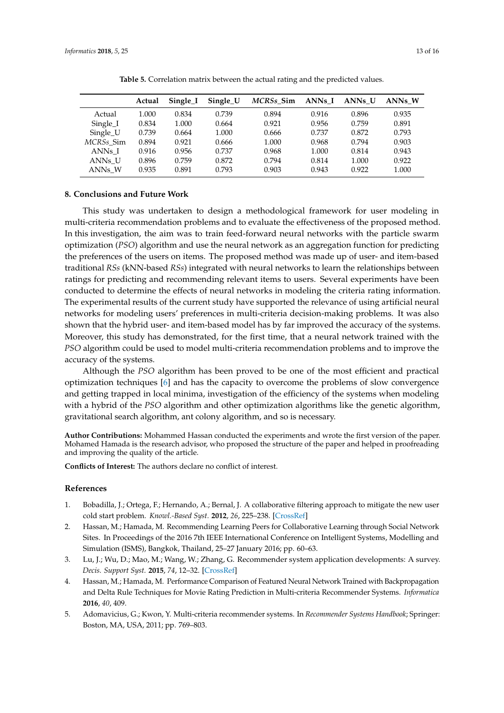<span id="page-12-6"></span>

|          | Actual | Single I | Single_U | MCRSs_Sim ANNs_I ANNs_U |       |       | ANNs W |
|----------|--------|----------|----------|-------------------------|-------|-------|--------|
| Actual   | 1.000  | 0.834    | 0.739    | 0.894                   | 0.916 | 0.896 | 0.935  |
| Single_I | 0.834  | 1.000    | 0.664    | 0.921                   | 0.956 | 0.759 | 0.891  |
| Single_U | 0.739  | 0.664    | 1.000    | 0.666                   | 0.737 | 0.872 | 0.793  |

**Table 5.** Correlation matrix between the actual rating and the predicted values.

*MCRSs*\_Sim 0.894 0.921 0.666 1.000 0.968 0.794 0.903 ANNs\_I 0.916 0.956 0.737 0.968 1.000 0.814 0.943 ANNs\_U 0.896 0.759 0.872 0.794 0.814 1.000 0.922 ANNs\_W 0.935 0.891 0.793 0.903 0.943 0.922 1.000

#### <span id="page-12-5"></span>**8. Conclusions and Future Work**

This study was undertaken to design a methodological framework for user modeling in multi-criteria recommendation problems and to evaluate the effectiveness of the proposed method. In this investigation, the aim was to train feed-forward neural networks with the particle swarm optimization (*PSO*) algorithm and use the neural network as an aggregation function for predicting the preferences of the users on items. The proposed method was made up of user- and item-based traditional *RSs* (kNN-based *RSs*) integrated with neural networks to learn the relationships between ratings for predicting and recommending relevant items to users. Several experiments have been conducted to determine the effects of neural networks in modeling the criteria rating information. The experimental results of the current study have supported the relevance of using artificial neural networks for modeling users' preferences in multi-criteria decision-making problems. It was also shown that the hybrid user- and item-based model has by far improved the accuracy of the systems. Moreover, this study has demonstrated, for the first time, that a neural network trained with the *PSO* algorithm could be used to model multi-criteria recommendation problems and to improve the accuracy of the systems.

Although the *PSO* algorithm has been proved to be one of the most efficient and practical optimization techniques [\[6\]](#page-13-0) and has the capacity to overcome the problems of slow convergence and getting trapped in local minima, investigation of the efficiency of the systems when modeling with a hybrid of the *PSO* algorithm and other optimization algorithms like the genetic algorithm, gravitational search algorithm, ant colony algorithm, and so is necessary.

**Author Contributions:** Mohammed Hassan conducted the experiments and wrote the first version of the paper. Mohamed Hamada is the research advisor, who proposed the structure of the paper and helped in proofreading and improving the quality of the article.

**Conflicts of Interest:** The authors declare no conflict of interest.

#### **References**

- <span id="page-12-0"></span>1. Bobadilla, J.; Ortega, F.; Hernando, A.; Bernal, J. A collaborative filtering approach to mitigate the new user cold start problem. *Knowl.-Based Syst.* **2012**, *26*, 225–238. [\[CrossRef\]](http://dx.doi.org/10.1016/j.knosys.2011.07.021)
- <span id="page-12-1"></span>2. Hassan, M.; Hamada, M. Recommending Learning Peers for Collaborative Learning through Social Network Sites. In Proceedings of the 2016 7th IEEE International Conference on Intelligent Systems, Modelling and Simulation (ISMS), Bangkok, Thailand, 25–27 January 2016; pp. 60–63.
- <span id="page-12-2"></span>3. Lu, J.; Wu, D.; Mao, M.; Wang, W.; Zhang, G. Recommender system application developments: A survey. *Decis. Support Syst.* **2015**, *74*, 12–32. [\[CrossRef\]](http://dx.doi.org/10.1016/j.dss.2015.03.008)
- <span id="page-12-3"></span>4. Hassan, M.; Hamada, M. Performance Comparison of Featured Neural Network Trained with Backpropagation and Delta Rule Techniques for Movie Rating Prediction in Multi-criteria Recommender Systems. *Informatica* **2016**, *40*, 409.
- <span id="page-12-4"></span>5. Adomavicius, G.; Kwon, Y. Multi-criteria recommender systems. In *Recommender Systems Handbook*; Springer: Boston, MA, USA, 2011; pp. 769–803.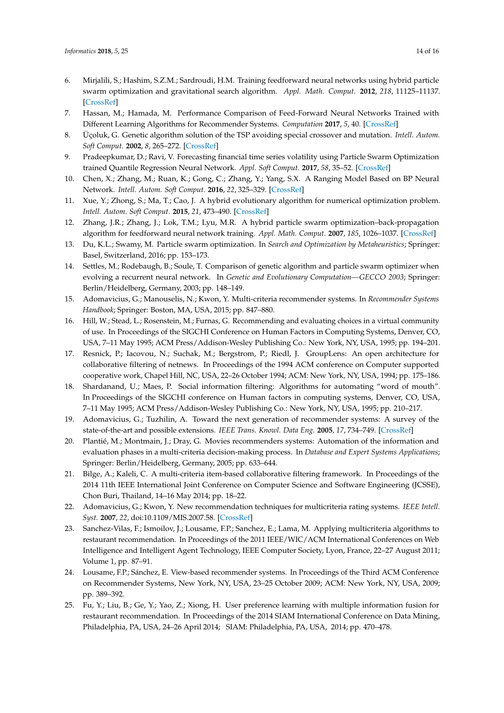- <span id="page-13-0"></span>6. Mirjalili, S.; Hashim, S.Z.M.; Sardroudi, H.M. Training feedforward neural networks using hybrid particle swarm optimization and gravitational search algorithm. *Appl. Math. Comput.* **2012**, *218*, 11125–11137. [\[CrossRef\]](http://dx.doi.org/10.1016/j.amc.2012.04.069)
- <span id="page-13-1"></span>7. Hassan, M.; Hamada, M. Performance Comparison of Feed-Forward Neural Networks Trained with Different Learning Algorithms for Recommender Systems. *Computation* **2017**, *5*, 40. [\[CrossRef\]](http://dx.doi.org/10.3390/computation5030040)
- <span id="page-13-2"></span>8. Üçoluk, G. Genetic algorithm solution of the TSP avoiding special crossover and mutation. *Intell. Autom. Soft Comput.* **2002**, *8*, 265–272. [\[CrossRef\]](http://dx.doi.org/10.1080/10798587.2000.10642829)
- <span id="page-13-3"></span>9. Pradeepkumar, D.; Ravi, V. Forecasting financial time series volatility using Particle Swarm Optimization trained Quantile Regression Neural Network. *Appl. Soft Comput.* **2017**, *58*, 35–52. [\[CrossRef\]](http://dx.doi.org/10.1016/j.asoc.2017.04.014)
- <span id="page-13-4"></span>10. Chen, X.; Zhang, M.; Ruan, K.; Gong, C.; Zhang, Y.; Yang, S.X. A Ranging Model Based on BP Neural Network. *Intell. Autom. Soft Comput.* **2016**, *22*, 325–329. [\[CrossRef\]](http://dx.doi.org/10.1080/10798587.2015.1095484)
- <span id="page-13-5"></span>11. Xue, Y.; Zhong, S.; Ma, T.; Cao, J. A hybrid evolutionary algorithm for numerical optimization problem. *Intell. Autom. Soft Comput.* **2015**, *21*, 473–490. [\[CrossRef\]](http://dx.doi.org/10.1080/10798587.2014.962239)
- <span id="page-13-6"></span>12. Zhang, J.R.; Zhang, J.; Lok, T.M.; Lyu, M.R. A hybrid particle swarm optimization–back-propagation algorithm for feedforward neural network training. *Appl. Math. Comput.* **2007**, *185*, 1026–1037. [\[CrossRef\]](http://dx.doi.org/10.1016/j.amc.2006.07.025)
- <span id="page-13-7"></span>13. Du, K.L.; Swamy, M. Particle swarm optimization. In *Search and Optimization by Metaheuristics*; Springer: Basel, Switzerland, 2016; pp. 153–173.
- <span id="page-13-8"></span>14. Settles, M.; Rodebaugh, B.; Soule, T. Comparison of genetic algorithm and particle swarm optimizer when evolving a recurrent neural network. In *Genetic and Evolutionary Computation—GECCO 2003*; Springer: Berlin/Heidelberg, Germany, 2003; pp. 148–149.
- <span id="page-13-9"></span>15. Adomavicius, G.; Manouselis, N.; Kwon, Y. Multi-criteria recommender systems. In *Recommender Systems Handbook*; Springer: Boston, MA, USA, 2015; pp. 847–880.
- <span id="page-13-10"></span>16. Hill, W.; Stead, L.; Rosenstein, M.; Furnas, G. Recommending and evaluating choices in a virtual community of use. In Proceedings of the SIGCHI Conference on Human Factors in Computing Systems, Denver, CO, USA, 7–11 May 1995; ACM Press/Addison-Wesley Publishing Co.: New York, NY, USA, 1995; pp. 194–201.
- 17. Resnick, P.; Iacovou, N.; Suchak, M.; Bergstrom, P.; Riedl, J. GroupLens: An open architecture for collaborative filtering of netnews. In Proceedings of the 1994 ACM conference on Computer supported cooperative work, Chapel Hill, NC, USA, 22–26 October 1994; ACM: New York, NY, USA, 1994; pp. 175–186.
- 18. Shardanand, U.; Maes, P. Social information filtering: Algorithms for automating "word of mouth". In Proceedings of the SIGCHI conference on Human factors in computing systems, Denver, CO, USA, 7–11 May 1995; ACM Press/Addison-Wesley Publishing Co.: New York, NY, USA, 1995; pp. 210–217.
- <span id="page-13-11"></span>19. Adomavicius, G.; Tuzhilin, A. Toward the next generation of recommender systems: A survey of the state-of-the-art and possible extensions. *IEEE Trans. Knowl. Data Eng.* **2005**, *17*, 734–749. [\[CrossRef\]](http://dx.doi.org/10.1109/TKDE.2005.99)
- <span id="page-13-12"></span>20. Plantié, M.; Montmain, J.; Dray, G. Movies recommenders systems: Automation of the information and evaluation phases in a multi-criteria decision-making process. In *Database and Expert Systems Applications*; Springer: Berlin/Heidelberg, Germany, 2005; pp. 633–644.
- <span id="page-13-13"></span>21. Bilge, A.; Kaleli, C. A multi-criteria item-based collaborative filtering framework. In Proceedings of the 2014 11th IEEE International Joint Conference on Computer Science and Software Engineering (JCSSE), Chon Buri, Thailand, 14–16 May 2014; pp. 18–22.
- <span id="page-13-14"></span>22. Adomavicius, G.; Kwon, Y. New recommendation techniques for multicriteria rating systems. *IEEE Intell. Syst.* **2007**, *22*, doi:10.1109/MIS.2007.58. [\[CrossRef\]](http://dx.doi.org/10.1109/MIS.2007.58)
- <span id="page-13-15"></span>23. Sanchez-Vilas, F.; Ismoilov, J.; Lousame, F.P.; Sanchez, E.; Lama, M. Applying multicriteria algorithms to restaurant recommendation. In Proceedings of the 2011 IEEE/WIC/ACM International Conferences on Web Intelligence and Intelligent Agent Technology, IEEE Computer Society, Lyon, France, 22–27 August 2011; Volume 1, pp. 87–91.
- <span id="page-13-16"></span>24. Lousame, F.P.; Sánchez, E. View-based recommender systems. In Proceedings of the Third ACM Conference on Recommender Systems, New York, NY, USA, 23–25 October 2009; ACM: New York, NY, USA, 2009; pp. 389–392.
- <span id="page-13-17"></span>25. Fu, Y.; Liu, B.; Ge, Y.; Yao, Z.; Xiong, H. User preference learning with multiple information fusion for restaurant recommendation. In Proceedings of the 2014 SIAM International Conference on Data Mining, Philadelphia, PA, USA, 24–26 April 2014; SIAM: Philadelphia, PA, USA, 2014; pp. 470–478.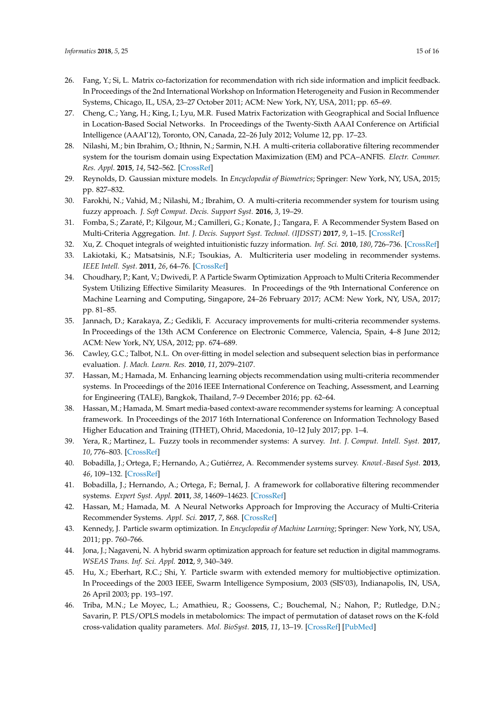- <span id="page-14-0"></span>26. Fang, Y.; Si, L. Matrix co-factorization for recommendation with rich side information and implicit feedback. In Proceedings of the 2nd International Workshop on Information Heterogeneity and Fusion in Recommender Systems, Chicago, IL, USA, 23–27 October 2011; ACM: New York, NY, USA, 2011; pp. 65–69.
- <span id="page-14-1"></span>27. Cheng, C.; Yang, H.; King, I.; Lyu, M.R. Fused Matrix Factorization with Geographical and Social Influence in Location-Based Social Networks. In Proceedings of the Twenty-Sixth AAAI Conference on Artificial Intelligence (AAAI'12), Toronto, ON, Canada, 22–26 July 2012; Volume 12, pp. 17–23.
- <span id="page-14-2"></span>28. Nilashi, M.; bin Ibrahim, O.; Ithnin, N.; Sarmin, N.H. A multi-criteria collaborative filtering recommender system for the tourism domain using Expectation Maximization (EM) and PCA–ANFIS. *Electr. Commer. Res. Appl.* **2015**, *14*, 542–562. [\[CrossRef\]](http://dx.doi.org/10.1016/j.elerap.2015.08.004)
- <span id="page-14-3"></span>29. Reynolds, D. Gaussian mixture models. In *Encyclopedia of Biometrics*; Springer: New York, NY, USA, 2015; pp. 827–832.
- <span id="page-14-4"></span>30. Farokhi, N.; Vahid, M.; Nilashi, M.; Ibrahim, O. A multi-criteria recommender system for tourism using fuzzy approach. *J. Soft Comput. Decis. Support Syst.* **2016**, *3*, 19–29.
- <span id="page-14-5"></span>31. Fomba, S.; Zaraté, P.; Kilgour, M.; Camilleri, G.; Konate, J.; Tangara, F. A Recommender System Based on Multi-Criteria Aggregation. *Int. J. Decis. Support Syst. Technol. (IJDSST)* **2017**, *9*, 1–15. [\[CrossRef\]](http://dx.doi.org/10.4018/IJDSST.2017100101)
- <span id="page-14-6"></span>32. Xu, Z. Choquet integrals of weighted intuitionistic fuzzy information. *Inf. Sci.* **2010**, *180*, 726–736. [\[CrossRef\]](http://dx.doi.org/10.1016/j.ins.2009.11.011)
- <span id="page-14-7"></span>33. Lakiotaki, K.; Matsatsinis, N.F.; Tsoukias, A. Multicriteria user modeling in recommender systems. *IEEE Intell. Syst.* **2011**, *26*, 64–76. [\[CrossRef\]](http://dx.doi.org/10.1109/MIS.2011.33)
- <span id="page-14-8"></span>34. Choudhary, P.; Kant, V.; Dwivedi, P. A Particle Swarm Optimization Approach to Multi Criteria Recommender System Utilizing Effective Similarity Measures. In Proceedings of the 9th International Conference on Machine Learning and Computing, Singapore, 24–26 February 2017; ACM: New York, NY, USA, 2017; pp. 81–85.
- <span id="page-14-9"></span>35. Jannach, D.; Karakaya, Z.; Gedikli, F. Accuracy improvements for multi-criteria recommender systems. In Proceedings of the 13th ACM Conference on Electronic Commerce, Valencia, Spain, 4–8 June 2012; ACM: New York, NY, USA, 2012; pp. 674–689.
- <span id="page-14-10"></span>36. Cawley, G.C.; Talbot, N.L. On over-fitting in model selection and subsequent selection bias in performance evaluation. *J. Mach. Learn. Res.* **2010**, *11*, 2079–2107.
- <span id="page-14-11"></span>37. Hassan, M.; Hamada, M. Enhancing learning objects recommendation using multi-criteria recommender systems. In Proceedings of the 2016 IEEE International Conference on Teaching, Assessment, and Learning for Engineering (TALE), Bangkok, Thailand, 7–9 December 2016; pp. 62–64.
- <span id="page-14-12"></span>38. Hassan, M.; Hamada, M. Smart media-based context-aware recommender systems for learning: A conceptual framework. In Proceedings of the 2017 16th International Conference on Information Technology Based Higher Education and Training (ITHET), Ohrid, Macedonia, 10–12 July 2017; pp. 1–4.
- <span id="page-14-13"></span>39. Yera, R.; Martinez, L. Fuzzy tools in recommender systems: A survey. *Int. J. Comput. Intell. Syst.* **2017**, *10*, 776–803. [\[CrossRef\]](http://dx.doi.org/10.2991/ijcis.2017.10.1.52)
- <span id="page-14-14"></span>40. Bobadilla, J.; Ortega, F.; Hernando, A.; Gutiérrez, A. Recommender systems survey. *Knowl.-Based Syst.* **2013**, *46*, 109–132. [\[CrossRef\]](http://dx.doi.org/10.1016/j.knosys.2013.03.012)
- <span id="page-14-15"></span>41. Bobadilla, J.; Hernando, A.; Ortega, F.; Bernal, J. A framework for collaborative filtering recommender systems. *Expert Syst. Appl.* **2011**, *38*, 14609–14623. [\[CrossRef\]](http://dx.doi.org/10.1016/j.eswa.2011.05.021)
- <span id="page-14-16"></span>42. Hassan, M.; Hamada, M. A Neural Networks Approach for Improving the Accuracy of Multi-Criteria Recommender Systems. *Appl. Sci.* **2017**, *7*, 868. [\[CrossRef\]](http://dx.doi.org/10.3390/app7090868)
- <span id="page-14-17"></span>43. Kennedy, J. Particle swarm optimization. In *Encyclopedia of Machine Learning*; Springer: New York, NY, USA, 2011; pp. 760–766.
- <span id="page-14-18"></span>44. Jona, J.; Nagaveni, N. A hybrid swarm optimization approach for feature set reduction in digital mammograms. *WSEAS Trans. Inf. Sci. Appl.* **2012**, *9*, 340–349.
- <span id="page-14-19"></span>45. Hu, X.; Eberhart, R.C.; Shi, Y. Particle swarm with extended memory for multiobjective optimization. In Proceedings of the 2003 IEEE, Swarm Intelligence Symposium, 2003 (SIS'03), Indianapolis, IN, USA, 26 April 2003; pp. 193–197.
- <span id="page-14-20"></span>46. Triba, M.N.; Le Moyec, L.; Amathieu, R.; Goossens, C.; Bouchemal, N.; Nahon, P.; Rutledge, D.N.; Savarin, P. PLS/OPLS models in metabolomics: The impact of permutation of dataset rows on the K-fold cross-validation quality parameters. *Mol. BioSyst.* **2015**, *11*, 13–19. [\[CrossRef\]](http://dx.doi.org/10.1039/C4MB00414K) [\[PubMed\]](http://www.ncbi.nlm.nih.gov/pubmed/25382277)